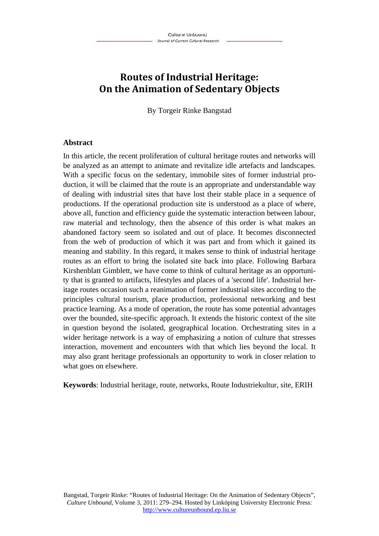# **Routes of Industrial Heritage: On the Animation of Sedentary Objects**

By Torgeir Rinke Bangstad

#### **Abstract**

In this article, the recent proliferation of cultural heritage routes and networks will be analyzed as an attempt to animate and revitalize idle artefacts and landscapes. With a specific focus on the sedentary, immobile sites of former industrial production, it will be claimed that the route is an appropriate and understandable way of dealing with industrial sites that have lost their stable place in a sequence of productions. If the operational production site is understood as a place of where, above all, function and efficiency guide the systematic interaction between labour, raw material and technology, then the absence of this order is what makes an abandoned factory seem so isolated and out of place. It becomes disconnected from the web of production of which it was part and from which it gained its meaning and stability. In this regard, it makes sense to think of industrial heritage routes as an effort to bring the isolated site back into place. Following Barbara Kirshenblatt Gimblett, we have come to think of cultural heritage as an opportunity that is granted to artifacts, lifestyles and places of a 'second life'. Industrial heritage routes occasion such a reanimation of former industrial sites according to the principles cultural tourism, place production, professional networking and best practice learning. As a mode of operation, the route has some potential advantages over the bounded, site-specific approach. It extends the historic context of the site in question beyond the isolated, geographical location. Orchestrating sites in a wider heritage network is a way of emphasizing a notion of culture that stresses interaction, movement and encounters with that which lies beyond the local. It may also grant heritage professionals an opportunity to work in closer relation to what goes on elsewhere.

**Keywords**: Industrial heritage, route, networks, Route Industriekultur, site, ERIH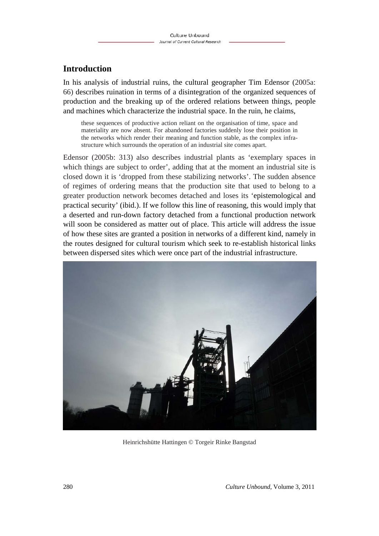## **Introduction**

In his analysis of industrial ruins, the cultural geographer Tim Edensor (2005a: 66) describes ruination in terms of a disintegration of the organized sequences of production and the breaking up of the ordered relations between things, people and machines which characterize the industrial space. In the ruin, he claims,

these sequences of productive action reliant on the organisation of time, space and materiality are now absent. For abandoned factories suddenly lose their position in the networks which render their meaning and function stable, as the complex infrastructure which surrounds the operation of an industrial site comes apart.

Edensor (2005b: 313) also describes industrial plants as 'exemplary spaces in which things are subject to order', adding that at the moment an industrial site is closed down it is 'dropped from these stabilizing networks'. The sudden absence of regimes of ordering means that the production site that used to belong to a greater production network becomes detached and loses its 'epistemological and practical security' (ibid.). If we follow this line of reasoning, this would imply that a deserted and run-down factory detached from a functional production network will soon be considered as matter out of place. This article will address the issue of how these sites are granted a position in networks of a different kind, namely in the routes designed for cultural tourism which seek to re-establish historical links between dispersed sites which were once part of the industrial infrastructure.



Heinrichshütte Hattingen © Torgeir Rinke Bangstad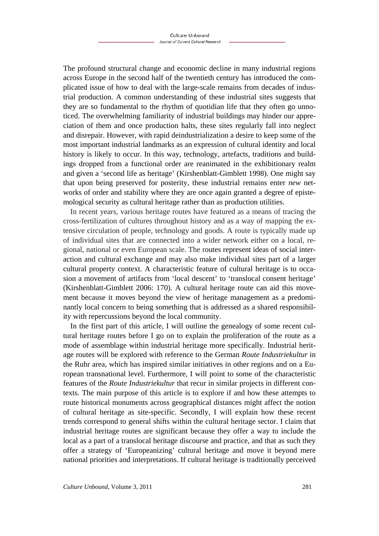The profound structural change and economic decline in many industrial regions across Europe in the second half of the twentieth century has introduced the complicated issue of how to deal with the large-scale remains from decades of industrial production. A common understanding of these industrial sites suggests that they are so fundamental to the rhythm of quotidian life that they often go unnoticed. The overwhelming familiarity of industrial buildings may hinder our appreciation of them and once production halts, these sites regularly fall into neglect and disrepair. However, with rapid deindustrialization a desire to keep some of the most important industrial landmarks as an expression of cultural identity and local history is likely to occur. In this way, technology, artefacts, traditions and buildings dropped from a functional order are reanimated in the exhibitionary realm and given a 'second life as heritage' (Kirshenblatt-Gimblett 1998). One might say that upon being preserved for posterity, these industrial remains enter *new* networks of order and stability where they are once again granted a degree of epistemological security as cultural heritage rather than as production utilities.

In recent years, various heritage routes have featured as a means of tracing the cross-fertilization of cultures throughout history and as a way of mapping the extensive circulation of people, technology and goods. A route is typically made up of individual sites that are connected into a wider network either on a local, regional, national or even European scale. The routes represent ideas of social interaction and cultural exchange and may also make individual sites part of a larger cultural property context. A characteristic feature of cultural heritage is to occasion a movement of artifacts from 'local descent' to 'translocal consent heritage' (Kirshenblatt-Gimblett 2006: 170). A cultural heritage route can aid this movement because it moves beyond the view of heritage management as a predominantly local concern to being something that is addressed as a shared responsibility with repercussions beyond the local community.

In the first part of this article, I will outline the genealogy of some recent cultural heritage routes before I go on to explain the proliferation of the route as a mode of assemblage within industrial heritage more specifically. Industrial heritage routes will be explored with reference to the German *Route Industriekultur* in the Ruhr area, which has inspired similar initiatives in other regions and on a European transnational level. Furthermore, I will point to some of the characteristic features of the *Route Industriekultur* that recur in similar projects in different contexts. The main purpose of this article is to explore if and how these attempts to route historical monuments across geographical distances might affect the notion of cultural heritage as site-specific. Secondly, I will explain how these recent trends correspond to general shifts within the cultural heritage sector. I claim that industrial heritage routes are significant because they offer a way to include the local as a part of a translocal heritage discourse and practice, and that as such they offer a strategy of 'Europeanizing' cultural heritage and move it beyond mere national priorities and interpretations. If cultural heritage is traditionally perceived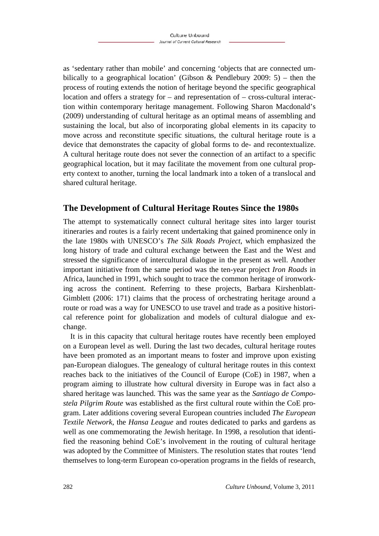as 'sedentary rather than mobile' and concerning 'objects that are connected umbilically to a geographical location' (Gibson & Pendlebury 2009: 5) – then the process of routing extends the notion of heritage beyond the specific geographical location and offers a strategy for – and representation of – cross-cultural interaction within contemporary heritage management. Following Sharon Macdonald's (2009) understanding of cultural heritage as an optimal means of assembling and sustaining the local, but also of incorporating global elements in its capacity to move across and reconstitute specific situations, the cultural heritage route is a device that demonstrates the capacity of global forms to de- and recontextualize. A cultural heritage route does not sever the connection of an artifact to a specific geographical location, but it may facilitate the movement from one cultural property context to another, turning the local landmark into a token of a translocal and shared cultural heritage.

## **The Development of Cultural Heritage Routes Since the 1980s**

The attempt to systematically connect cultural heritage sites into larger tourist itineraries and routes is a fairly recent undertaking that gained prominence only in the late 1980s with UNESCO's *The Silk Roads Project*, which emphasized the long history of trade and cultural exchange between the East and the West and stressed the significance of intercultural dialogue in the present as well. Another important initiative from the same period was the ten-year project *Iron Roads* in Africa, launched in 1991, which sought to trace the common heritage of ironworking across the continent. Referring to these projects, Barbara Kirshenblatt-Gimblett (2006: 171) claims that the process of orchestrating heritage around a route or road was a way for UNESCO to use travel and trade as a positive historical reference point for globalization and models of cultural dialogue and exchange.

It is in this capacity that cultural heritage routes have recently been employed on a European level as well. During the last two decades, cultural heritage routes have been promoted as an important means to foster and improve upon existing pan-European dialogues. The genealogy of cultural heritage routes in this context reaches back to the initiatives of the Council of Europe (CoE) in 1987, when a program aiming to illustrate how cultural diversity in Europe was in fact also a shared heritage was launched. This was the same year as the *Santiago de Compostela Pilgrim Route* was established as the first cultural route within the CoE program. Later additions covering several European countries included *The European Textile Network*, the *Hansa League* and routes dedicated to parks and gardens as well as one commemorating the Jewish heritage. In 1998, a resolution that identified the reasoning behind CoE's involvement in the routing of cultural heritage was adopted by the Committee of Ministers. The resolution states that routes 'lend themselves to long-term European co-operation programs in the fields of research,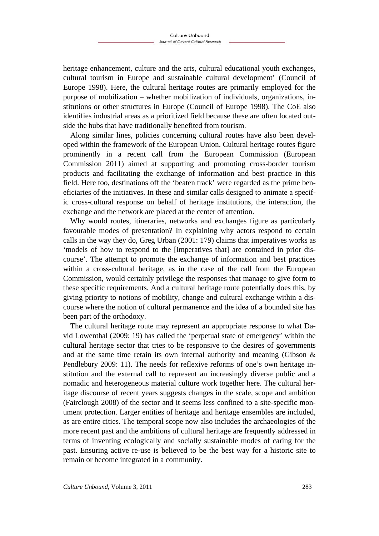heritage enhancement, culture and the arts, cultural educational youth exchanges, cultural tourism in Europe and sustainable cultural development' (Council of Europe 1998). Here, the cultural heritage routes are primarily employed for the purpose of mobilization – whether mobilization of individuals, organizations, institutions or other structures in Europe (Council of Europe 1998). The CoE also identifies industrial areas as a prioritized field because these are often located outside the hubs that have traditionally benefited from tourism.

Along similar lines, policies concerning cultural routes have also been developed within the framework of the European Union. Cultural heritage routes figure prominently in a recent call from the European Commission (European Commission 2011) aimed at supporting and promoting cross-border tourism products and facilitating the exchange of information and best practice in this field. Here too, destinations off the 'beaten track' were regarded as the prime beneficiaries of the initiatives. In these and similar calls designed to animate a specific cross-cultural response on behalf of heritage institutions, the interaction, the exchange and the network are placed at the center of attention.

Why would routes, itineraries, networks and exchanges figure as particularly favourable modes of presentation? In explaining why actors respond to certain calls in the way they do, Greg Urban (2001: 179) claims that imperatives works as 'models of how to respond to the [imperatives that] are contained in prior discourse'. The attempt to promote the exchange of information and best practices within a cross-cultural heritage, as in the case of the call from the European Commission, would certainly privilege the responses that manage to give form to these specific requirements. And a cultural heritage route potentially does this, by giving priority to notions of mobility, change and cultural exchange within a discourse where the notion of cultural permanence and the idea of a bounded site has been part of the orthodoxy.

The cultural heritage route may represent an appropriate response to what David Lowenthal (2009: 19) has called the 'perpetual state of emergency' within the cultural heritage sector that tries to be responsive to the desires of governments and at the same time retain its own internal authority and meaning (Gibson  $\&$ Pendlebury 2009: 11). The needs for reflexive reforms of one's own heritage institution and the external call to represent an increasingly diverse public and a nomadic and heterogeneous material culture work together here. The cultural heritage discourse of recent years suggests changes in the scale, scope and ambition (Fairclough 2008) of the sector and it seems less confined to a site-specific monument protection. Larger entities of heritage and heritage ensembles are included, as are entire cities. The temporal scope now also includes the archaeologies of the more recent past and the ambitions of cultural heritage are frequently addressed in terms of inventing ecologically and socially sustainable modes of caring for the past. Ensuring active re-use is believed to be the best way for a historic site to remain or become integrated in a community.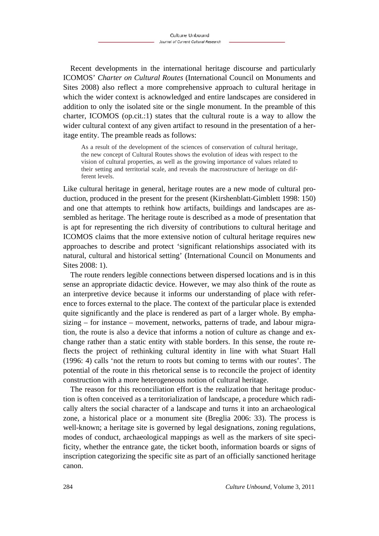Recent developments in the international heritage discourse and particularly ICOMOS' *Charter on Cultural Routes* (International Council on Monuments and Sites 2008) also reflect a more comprehensive approach to cultural heritage in which the wider context is acknowledged and entire landscapes are considered in addition to only the isolated site or the single monument. In the preamble of this charter, ICOMOS (op.cit.:1) states that the cultural route is a way to allow the wider cultural context of any given artifact to resound in the presentation of a heritage entity. The preamble reads as follows:

As a result of the development of the sciences of conservation of cultural heritage, the new concept of Cultural Routes shows the evolution of ideas with respect to the vision of cultural properties, as well as the growing importance of values related to their setting and territorial scale, and reveals the macrostructure of heritage on different levels.

Like cultural heritage in general, heritage routes are a new mode of cultural production, produced in the present for the present (Kirshenblatt-Gimblett 1998: 150) and one that attempts to rethink how artifacts, buildings and landscapes are assembled as heritage. The heritage route is described as a mode of presentation that is apt for representing the rich diversity of contributions to cultural heritage and ICOMOS claims that the more extensive notion of cultural heritage requires new approaches to describe and protect 'significant relationships associated with its natural, cultural and historical setting' (International Council on Monuments and Sites 2008: 1).

The route renders legible connections between dispersed locations and is in this sense an appropriate didactic device. However, we may also think of the route as an interpretive device because it informs our understanding of place with reference to forces external to the place. The context of the particular place is extended quite significantly and the place is rendered as part of a larger whole. By emphasizing – for instance – movement, networks, patterns of trade, and labour migration, the route is also a device that informs a notion of culture as change and exchange rather than a static entity with stable borders. In this sense, the route reflects the project of rethinking cultural identity in line with what Stuart Hall (1996: 4) calls 'not the return to roots but coming to terms with our routes'. The potential of the route in this rhetorical sense is to reconcile the project of identity construction with a more heterogeneous notion of cultural heritage.

The reason for this reconciliation effort is the realization that heritage production is often conceived as a territorialization of landscape, a procedure which radically alters the social character of a landscape and turns it into an archaeological zone, a historical place or a monument site (Breglia 2006: 33). The process is well-known; a heritage site is governed by legal designations, zoning regulations, modes of conduct, archaeological mappings as well as the markers of site specificity, whether the entrance gate, the ticket booth, information boards or signs of inscription categorizing the specific site as part of an officially sanctioned heritage canon.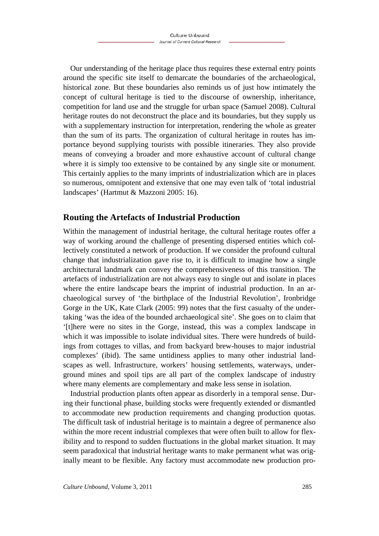Our understanding of the heritage place thus requires these external entry points around the specific site itself to demarcate the boundaries of the archaeological, historical zone. But these boundaries also reminds us of just how intimately the concept of cultural heritage is tied to the discourse of ownership, inheritance, competition for land use and the struggle for urban space (Samuel 2008). Cultural heritage routes do not deconstruct the place and its boundaries, but they supply us with a supplementary instruction for interpretation, rendering the whole as greater than the sum of its parts. The organization of cultural heritage in routes has importance beyond supplying tourists with possible itineraries. They also provide means of conveying a broader and more exhaustive account of cultural change where it is simply too extensive to be contained by any single site or monument. This certainly applies to the many imprints of industrialization which are in places so numerous, omnipotent and extensive that one may even talk of 'total industrial landscapes' (Hartmut & Mazzoni 2005: 16).

## **Routing the Artefacts of Industrial Production**

Within the management of industrial heritage, the cultural heritage routes offer a way of working around the challenge of presenting dispersed entities which collectively constituted a network of production. If we consider the profound cultural change that industrialization gave rise to, it is difficult to imagine how a single architectural landmark can convey the comprehensiveness of this transition. The artefacts of industrialization are not always easy to single out and isolate in places where the entire landscape bears the imprint of industrial production. In an archaeological survey of 'the birthplace of the Industrial Revolution', Ironbridge Gorge in the UK, Kate Clark (2005: 99) notes that the first casualty of the undertaking 'was the idea of the bounded archaeological site'. She goes on to claim that '[t]here were no sites in the Gorge, instead, this was a complex landscape in which it was impossible to isolate individual sites. There were hundreds of buildings from cottages to villas, and from backyard brew-houses to major industrial complexes' (ibid). The same untidiness applies to many other industrial landscapes as well. Infrastructure, workers' housing settlements, waterways, underground mines and spoil tips are all part of the complex landscape of industry where many elements are complementary and make less sense in isolation.

Industrial production plants often appear as disorderly in a temporal sense. During their functional phase, building stocks were frequently extended or dismantled to accommodate new production requirements and changing production quotas. The difficult task of industrial heritage is to maintain a degree of permanence also within the more recent industrial complexes that were often built to allow for flexibility and to respond to sudden fluctuations in the global market situation. It may seem paradoxical that industrial heritage wants to make permanent what was originally meant to be flexible. Any factory must accommodate new production pro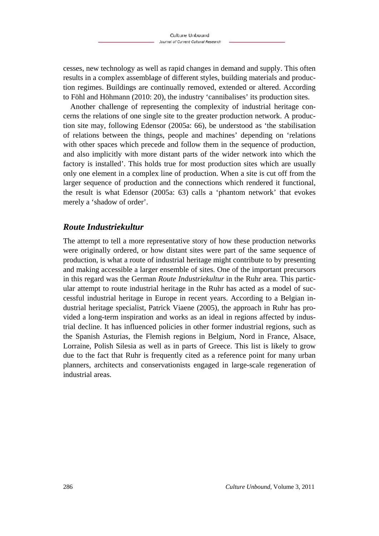cesses, new technology as well as rapid changes in demand and supply. This often results in a complex assemblage of different styles, building materials and production regimes. Buildings are continually removed, extended or altered. According to Föhl and Höhmann (2010: 20), the industry 'cannibalises' its production sites.

Another challenge of representing the complexity of industrial heritage concerns the relations of one single site to the greater production network. A production site may, following Edensor (2005a: 66), be understood as 'the stabilisation of relations between the things, people and machines' depending on 'relations with other spaces which precede and follow them in the sequence of production, and also implicitly with more distant parts of the wider network into which the factory is installed'. This holds true for most production sites which are usually only one element in a complex line of production. When a site is cut off from the larger sequence of production and the connections which rendered it functional, the result is what Edensor (2005a: 63) calls a 'phantom network' that evokes merely a 'shadow of order'.

#### *Route Industriekultur*

The attempt to tell a more representative story of how these production networks were originally ordered, or how distant sites were part of the same sequence of production, is what a route of industrial heritage might contribute to by presenting and making accessible a larger ensemble of sites. One of the important precursors in this regard was the German *Route Industriekultur* in the Ruhr area. This particular attempt to route industrial heritage in the Ruhr has acted as a model of successful industrial heritage in Europe in recent years. According to a Belgian industrial heritage specialist, Patrick Viaene (2005), the approach in Ruhr has provided a long-term inspiration and works as an ideal in regions affected by industrial decline. It has influenced policies in other former industrial regions, such as the Spanish Asturias, the Flemish regions in Belgium, Nord in France, Alsace, Lorraine, Polish Silesia as well as in parts of Greece. This list is likely to grow due to the fact that Ruhr is frequently cited as a reference point for many urban planners, architects and conservationists engaged in large-scale regeneration of industrial areas.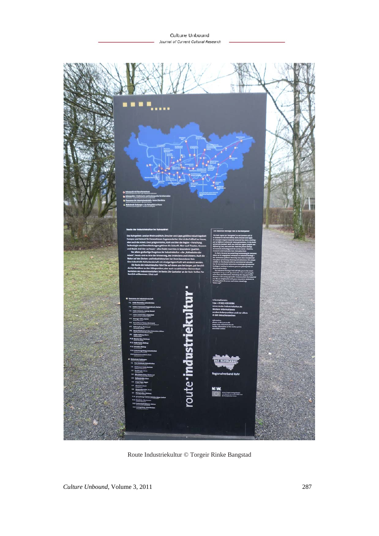

Route Industriekultur © Torgeir Rinke Bangstad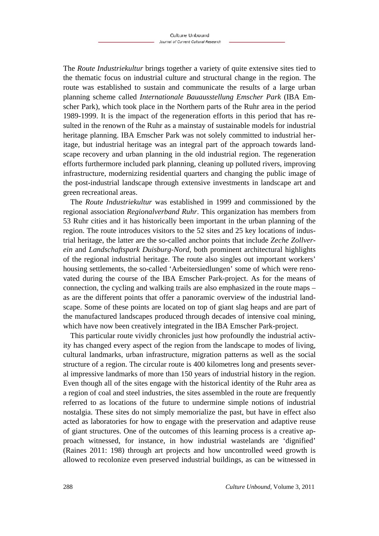The *Route Industriekultur* brings together a variety of quite extensive sites tied to the thematic focus on industrial culture and structural change in the region. The route was established to sustain and communicate the results of a large urban planning scheme called *Internationale Bauausstellung Emscher Park* (IBA Emscher Park), which took place in the Northern parts of the Ruhr area in the period 1989-1999. It is the impact of the regeneration efforts in this period that has resulted in the renown of the Ruhr as a mainstay of sustainable models for industrial heritage planning. IBA Emscher Park was not solely committed to industrial heritage, but industrial heritage was an integral part of the approach towards landscape recovery and urban planning in the old industrial region. The regeneration efforts furthermore included park planning, cleaning up polluted rivers, improving infrastructure, modernizing residential quarters and changing the public image of the post-industrial landscape through extensive investments in landscape art and green recreational areas.

The *Route Industriekultur* was established in 1999 and commissioned by the regional association *Regionalverband Ruhr*. This organization has members from 53 Ruhr cities and it has historically been important in the urban planning of the region. The route introduces visitors to the 52 sites and 25 key locations of industrial heritage, the latter are the so-called anchor points that include *Zeche Zollverein* and *Landschaftspark Duisburg-Nord*, both prominent architectural highlights of the regional industrial heritage. The route also singles out important workers' housing settlements, the so-called 'Arbeitersiedlungen' some of which were renovated during the course of the IBA Emscher Park-project. As for the means of connection, the cycling and walking trails are also emphasized in the route maps – as are the different points that offer a panoramic overview of the industrial landscape. Some of these points are located on top of giant slag heaps and are part of the manufactured landscapes produced through decades of intensive coal mining, which have now been creatively integrated in the IBA Emscher Park-project.

This particular route vividly chronicles just how profoundly the industrial activity has changed every aspect of the region from the landscape to modes of living, cultural landmarks, urban infrastructure, migration patterns as well as the social structure of a region. The circular route is 400 kilometres long and presents several impressive landmarks of more than 150 years of industrial history in the region. Even though all of the sites engage with the historical identity of the Ruhr area as a region of coal and steel industries, the sites assembled in the route are frequently referred to as locations of the future to undermine simple notions of industrial nostalgia. These sites do not simply memorialize the past, but have in effect also acted as laboratories for how to engage with the preservation and adaptive reuse of giant structures. One of the outcomes of this learning process is a creative approach witnessed, for instance, in how industrial wastelands are 'dignified' (Raines 2011: 198) through art projects and how uncontrolled weed growth is allowed to recolonize even preserved industrial buildings, as can be witnessed in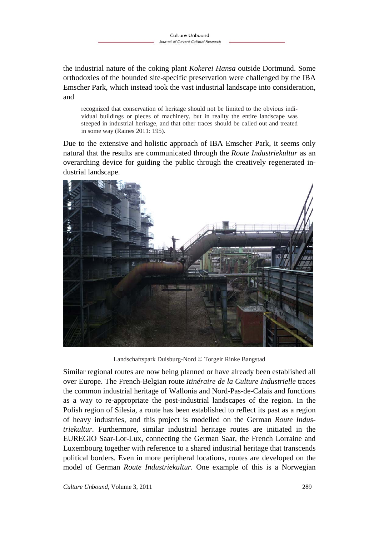the industrial nature of the coking plant *Kokerei Hansa* outside Dortmund. Some orthodoxies of the bounded site-specific preservation were challenged by the IBA Emscher Park, which instead took the vast industrial landscape into consideration, and

recognized that conservation of heritage should not be limited to the obvious individual buildings or pieces of machinery, but in reality the entire landscape was steeped in industrial heritage, and that other traces should be called out and treated in some way (Raines 2011: 195).

Due to the extensive and holistic approach of IBA Emscher Park, it seems only natural that the results are communicated through the *Route Industriekultur* as an overarching device for guiding the public through the creatively regenerated industrial landscape.



Landschaftspark Duisburg-Nord © Torgeir Rinke Bangstad

Similar regional routes are now being planned or have already been established all over Europe. The French-Belgian route *Itinéraire de la Culture Industrielle* traces the common industrial heritage of Wallonia and Nord-Pas-de-Calais and functions as a way to re-appropriate the post-industrial landscapes of the region. In the Polish region of Silesia, a route has been established to reflect its past as a region of heavy industries, and this project is modelled on the German *Route Industriekultur*. Furthermore, similar industrial heritage routes are initiated in the EUREGIO Saar-Lor-Lux, connecting the German Saar, the French Lorraine and Luxembourg together with reference to a shared industrial heritage that transcends political borders. Even in more peripheral locations, routes are developed on the model of German *Route Industriekultur*. One example of this is a Norwegian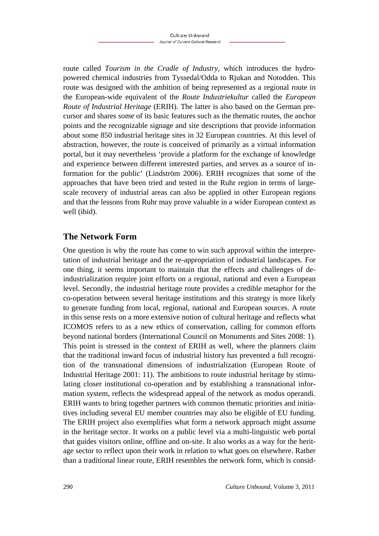route called *Tourism in the Cradle of Industry,* which introduces the hydropowered chemical industries from Tyssedal/Odda to Rjukan and Notodden. This route was designed with the ambition of being represented as a regional route in the European-wide equivalent of the *Route Industriekultur* called the *European Route of Industrial Heritage* (ERIH). The latter is also based on the German precursor and shares some of its basic features such as the thematic routes, the anchor points and the recognizable signage and site descriptions that provide information about some 850 industrial heritage sites in 32 European countries. At this level of abstraction, however, the route is conceived of primarily as a virtual information portal, but it may nevertheless 'provide a platform for the exchange of knowledge and experience between different interested parties, and serves as a source of information for the public' (Lindström 2006). ERIH recognizes that some of the approaches that have been tried and tested in the Ruhr region in terms of largescale recovery of industrial areas can also be applied in other European regions and that the lessons from Ruhr may prove valuable in a wider European context as well (ibid).

## **The Network Form**

One question is why the route has come to win such approval within the interpretation of industrial heritage and the re-appropriation of industrial landscapes. For one thing, it seems important to maintain that the effects and challenges of deindustrialization require joint efforts on a regional, national and even a European level. Secondly, the industrial heritage route provides a credible metaphor for the co-operation between several heritage institutions and this strategy is more likely to generate funding from local, regional, national and European sources. A route in this sense rests on a more extensive notion of cultural heritage and reflects what ICOMOS refers to as a new ethics of conservation, calling for common efforts beyond national borders (International Council on Monuments and Sites 2008: 1). This point is stressed in the context of ERIH as well, where the planners claim that the traditional inward focus of industrial history has prevented a full recognition of the transnational dimensions of industrialization (European Route of Industrial Heritage 2001: 11). The ambitions to route industrial heritage by stimulating closer institutional co-operation and by establishing a transnational information system, reflects the widespread appeal of the network as modus operandi. ERIH wants to bring together partners with common thematic priorities and initiatives including several EU member countries may also be eligible of EU funding. The ERIH project also exemplifies what form a network approach might assume in the heritage sector. It works on a public level via a multi-linguistic web portal that guides visitors online, offline and on-site. It also works as a way for the heritage sector to reflect upon their work in relation to what goes on elsewhere. Rather than a traditional linear route, ERIH resembles the network form, which is consid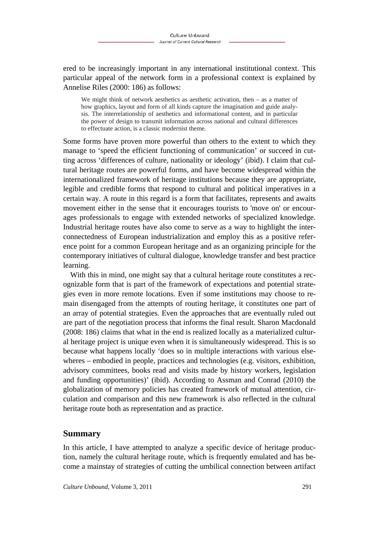ered to be increasingly important in any international institutional context. This particular appeal of the network form in a professional context is explained by Annelise Riles (2000: 186) as follows:

We might think of network aesthetics as aesthetic activation, then  $-$  as a matter of how graphics, layout and form of all kinds capture the imagination and guide analysis. The interrelationship of aesthetics and informational content, and in particular the power of design to transmit information across national and cultural differences to effectuate action, is a classic modernist theme.

Some forms have proven more powerful than others to the extent to which they manage to 'speed the efficient functioning of communication' or succeed in cutting across 'differences of culture, nationality or ideology' (ibid). I claim that cultural heritage routes are powerful forms, and have become widespread within the internationalized framework of heritage institutions because they are appropriate, legible and credible forms that respond to cultural and political imperatives in a certain way. A route in this regard is a form that facilitates, represents and awaits movement either in the sense that it encourages tourists to 'move on' or encourages professionals to engage with extended networks of specialized knowledge. Industrial heritage routes have also come to serve as a way to highlight the interconnectedness of European industrialization and employ this as a positive reference point for a common European heritage and as an organizing principle for the contemporary initiatives of cultural dialogue, knowledge transfer and best practice learning.

With this in mind, one might say that a cultural heritage route constitutes a recognizable form that is part of the framework of expectations and potential strategies even in more remote locations. Even if some institutions may choose to remain disengaged from the attempts of routing heritage, it constitutes one part of an array of potential strategies. Even the approaches that are eventually ruled out are part of the negotiation process that informs the final result. Sharon Macdonald (2008: 186) claims that what in the end is realized locally as a materialized cultural heritage project is unique even when it is simultaneously widespread. This is so because what happens locally 'does so in multiple interactions with various elsewheres – embodied in people, practices and technologies (e.g. visitors, exhibition, advisory committees, books read and visits made by history workers, legislation and funding opportunities)' (ibid). According to Assman and Conrad (2010) the globalization of memory policies has created framework of mutual attention, circulation and comparison and this new framework is also reflected in the cultural heritage route both as representation and as practice.

### **Summary**

In this article, I have attempted to analyze a specific device of heritage production, namely the cultural heritage route, which is frequently emulated and has become a mainstay of strategies of cutting the umbilical connection between artifact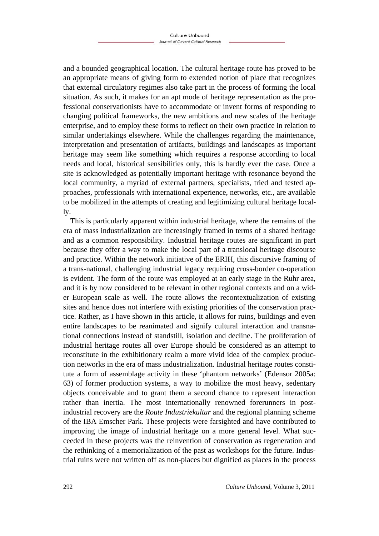and a bounded geographical location. The cultural heritage route has proved to be an appropriate means of giving form to extended notion of place that recognizes that external circulatory regimes also take part in the process of forming the local situation. As such, it makes for an apt mode of heritage representation as the professional conservationists have to accommodate or invent forms of responding to changing political frameworks, the new ambitions and new scales of the heritage enterprise, and to employ these forms to reflect on their own practice in relation to similar undertakings elsewhere. While the challenges regarding the maintenance, interpretation and presentation of artifacts, buildings and landscapes as important heritage may seem like something which requires a response according to local needs and local, historical sensibilities only, this is hardly ever the case. Once a site is acknowledged as potentially important heritage with resonance beyond the local community, a myriad of external partners, specialists, tried and tested approaches, professionals with international experience, networks, etc., are available to be mobilized in the attempts of creating and legitimizing cultural heritage locally.

This is particularly apparent within industrial heritage, where the remains of the era of mass industrialization are increasingly framed in terms of a shared heritage and as a common responsibility. Industrial heritage routes are significant in part because they offer a way to make the local part of a translocal heritage discourse and practice. Within the network initiative of the ERIH, this discursive framing of a trans-national, challenging industrial legacy requiring cross-border co-operation is evident. The form of the route was employed at an early stage in the Ruhr area, and it is by now considered to be relevant in other regional contexts and on a wider European scale as well. The route allows the recontextualization of existing sites and hence does not interfere with existing priorities of the conservation practice. Rather, as I have shown in this article, it allows for ruins, buildings and even entire landscapes to be reanimated and signify cultural interaction and transnational connections instead of standstill, isolation and decline. The proliferation of industrial heritage routes all over Europe should be considered as an attempt to reconstitute in the exhibitionary realm a more vivid idea of the complex production networks in the era of mass industrialization. Industrial heritage routes constitute a form of assemblage activity in these 'phantom networks' (Edensor 2005a: 63) of former production systems, a way to mobilize the most heavy, sedentary objects conceivable and to grant them a second chance to represent interaction rather than inertia. The most internationally renowned forerunners in postindustrial recovery are the *Route Industriekultur* and the regional planning scheme of the IBA Emscher Park. These projects were farsighted and have contributed to improving the image of industrial heritage on a more general level. What succeeded in these projects was the reinvention of conservation as regeneration and the rethinking of a memorialization of the past as workshops for the future. Industrial ruins were not written off as non-places but dignified as places in the process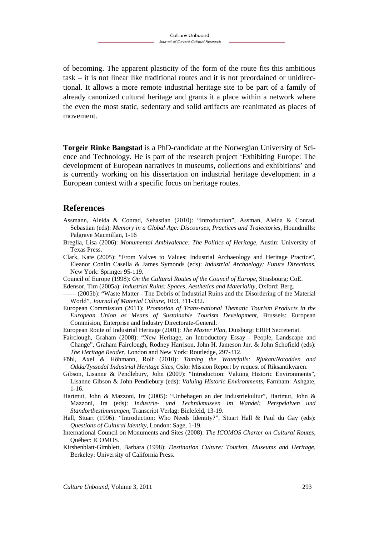of becoming. The apparent plasticity of the form of the route fits this ambitious task – it is not linear like traditional routes and it is not preordained or unidirectional. It allows a more remote industrial heritage site to be part of a family of already canonized cultural heritage and grants it a place within a network where the even the most static, sedentary and solid artifacts are reanimated as places of movement.

**Torgeir Rinke Bangstad** is a PhD-candidate at the Norwegian University of Science and Technology. He is part of the research project 'Exhibiting Europe: The development of European narratives in museums, collections and exhibitions' and is currently working on his dissertation on industrial heritage development in a European context with a specific focus on heritage routes.

#### **References**

- Assmann, Aleida & Conrad, Sebastian (2010): "Introduction", Assman, Aleida & Conrad, Sebastian (eds): *Memory in a Global Age: Discourses, Practices and Trajectories, Houndmills:* Palgrave Macmillan, 1-16
- Breglia, Lisa (2006): *Monumental Ambivalence: The Politics of Heritage,* Austin: University of Texas Press.
- Clark, Kate (2005): "From Valves to Values: Industrial Archaeology and Heritage Practice", Eleanor Conlin Casella & James Symonds (eds): *Industrial Archaelogy: Future Directions.* New York: Springer 95-119.
- Council of Europe (1998): *On the Cultural Routes of the Council of Europe,* Strasbourg: CoE.
- Edensor, Tim (2005a): *Industrial Ruins: Spaces, Aesthetics and Materiality,* Oxford: Berg.
- –––– (2005b): "Waste Matter The Debris of Industrial Ruins and the Disordering of the Material World", *Journal of Material Culture,* 10:3, 311-332.
- European Commission (2011): *Promotion of Trans-national Thematic Tourism Products in the European Union as Means of Sustainable Tourism Development,* Brussels: European Commision, Enterprise and Industry Directorate-General.
- European Route of Industrial Heritage (2001): *The Master Plan,* Duisburg: ERIH Secreteriat.
- Fairclough, Graham (2008): "New Heritage, an Introductory Essay People, Landscape and Change", Graham Fairclough, Rodney Harrison, John H. Jameson Jnr. & John Schofield (eds): *The Heritage Reader*, London and New York: Routledge, 297-312.
- Föhl, Axel & Höhmann, Rolf (2010): *Taming the Waterfalls: Rjukan/Notodden and Odda/Tyssedal Industrial Heritage Sites*, Oslo: Mission Report by request of Riksantikvaren.
- Gibson, Lisanne & Pendlebury, John (2009): "Introduction: Valuing Historic Environments", Lisanne Gibson & John Pendlebury (eds): *Valuing Historic Environments*, Farnham: Ashgate, 1-16.
- Hartmut, John & Mazzoni, Ira (2005): "Unbehagen an der Industriekultur", Hartmut, John & Mazzoni, Ira (eds): *Industrie- und Technikmuseen im Wandel: Perspektiven und Standortbestimmungen*, Transcript Verlag: Bielefeld, 13-19.
- Hall, Stuart (1996): "Introduction: Who Needs Identity?", Stuart Hall & Paul du Gay (eds): *Questions of Cultural Identity*, London: Sage, 1-19.
- International Council on Monuments and Sites (2008): *The ICOMOS Charter on Cultural Routes,*  Québec: ICOMOS.
- Kirshenblatt-Gimblett, Barbara (1998): *Destination Culture: Tourism, Museums and Heritage,*  Berkeley: University of California Press.